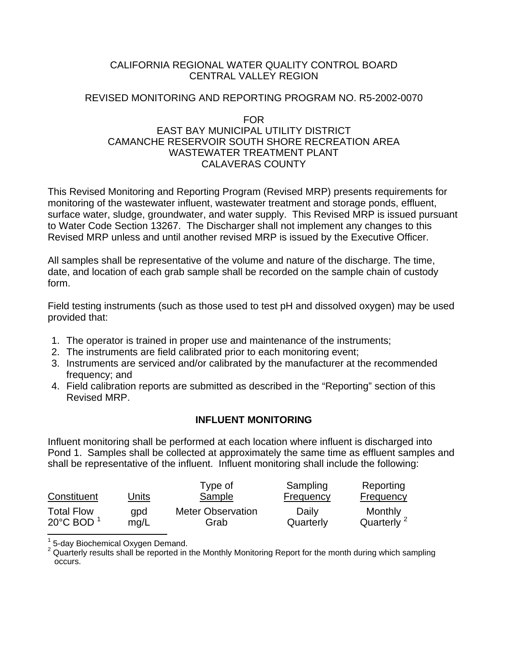# CALIFORNIA REGIONAL WATER QUALITY CONTROL BOARD CENTRAL VALLEY REGION

# REVISED MONITORING AND REPORTING PROGRAM NO. R5-2002-0070

## FOR

# EAST BAY MUNICIPAL UTILITY DISTRICT CAMANCHE RESERVOIR SOUTH SHORE RECREATION AREA WASTEWATER TREATMENT PLANT CALAVERAS COUNTY

This Revised Monitoring and Reporting Program (Revised MRP) presents requirements for monitoring of the wastewater influent, wastewater treatment and storage ponds, effluent, surface water, sludge, groundwater, and water supply. This Revised MRP is issued pursuant to Water Code Section 13267. The Discharger shall not implement any changes to this Revised MRP unless and until another revised MRP is issued by the Executive Officer.

All samples shall be representative of the volume and nature of the discharge. The time, date, and location of each grab sample shall be recorded on the sample chain of custody form.

Field testing instruments (such as those used to test pH and dissolved oxygen) may be used provided that:

- 1. The operator is trained in proper use and maintenance of the instruments;
- 2. The instruments are field calibrated prior to each monitoring event;
- 3. Instruments are serviced and/or calibrated by the manufacturer at the recommended frequency; and
- 4. Field calibration reports are submitted as described in the "Reporting" section of this Revised MRP.

# **INFLUENT MONITORING**

Influent monitoring shall be performed at each location where influent is discharged into Pond 1. Samples shall be collected at approximately the same time as effluent samples and shall be representative of the influent. Influent monitoring shall include the following:

| Constituent                                     | Units | Type of<br>Sample        | Sampling<br><b>Frequency</b> | Reporting<br><b>Frequency</b> |
|-------------------------------------------------|-------|--------------------------|------------------------------|-------------------------------|
| <b>Total Flow</b>                               | qpd   | <b>Meter Observation</b> | Daily                        | Monthly                       |
| 20 $\mathrm{^{\circ}C}$ BOD $\mathrm{^{\circ}}$ | mq/L  | Grab                     | Quarterly                    | Quarterly <sup>2</sup>        |

1 5-day Biochemical Oxygen Demand.

 $2$  Quarterly results shall be reported in the Monthly Monitoring Report for the month during which sampling occurs.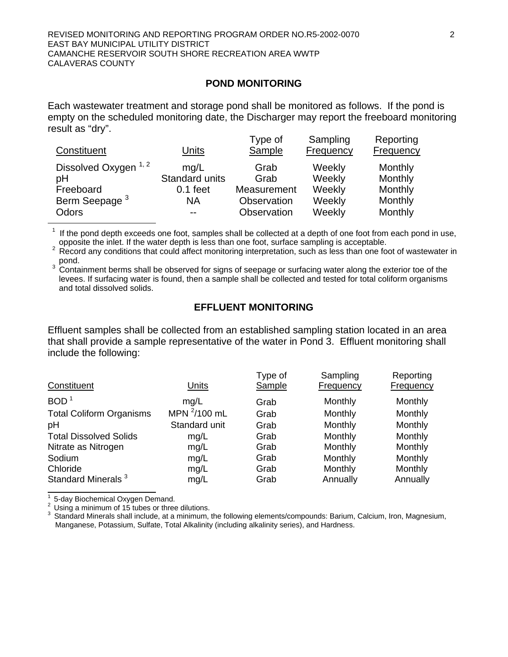#### **POND MONITORING**

Each wastewater treatment and storage pond shall be monitored as follows. If the pond is empty on the scheduled monitoring date, the Discharger may report the freeboard monitoring result as "dry".

| Constituent                                                                               | Units                                             | Type of<br>Sample                                         | Sampling<br>Frequency                          | Reporting<br><b>Frequency</b>                       |
|-------------------------------------------------------------------------------------------|---------------------------------------------------|-----------------------------------------------------------|------------------------------------------------|-----------------------------------------------------|
| Dissolved Oxygen <sup>1, 2</sup><br>pH<br>Freeboard<br>Berm Seepage <sup>3</sup><br>Odors | mq/L<br>Standard units<br>$0.1$ feet<br><b>NA</b> | Grab<br>Grab<br>Measurement<br>Observation<br>Observation | Weekly<br>Weekly<br>Weekly<br>Weekly<br>Weekly | Monthly<br>Monthly<br>Monthly<br>Monthly<br>Monthly |

 $1$  If the pond depth exceeds one foot, samples shall be collected at a depth of one foot from each pond in use, opposite the inlet. If the water depth is less than one foot, surface sampling is acceptable.

 $2 \overline{R}$  Record any conditions that could affect monitoring interpretation, such as less than one foot of wastewater in pond.

 $3$  Containment berms shall be observed for signs of seepage or surfacing water along the exterior toe of the levees. If surfacing water is found, then a sample shall be collected and tested for total coliform organisms and total dissolved solids.

# **EFFLUENT MONITORING**

Effluent samples shall be collected from an established sampling station located in an area that shall provide a sample representative of the water in Pond 3. Effluent monitoring shall include the following:

| Constituent                     | Units             | Type of<br>Sample | Sampling<br>Frequency | Reporting<br>Frequency |
|---------------------------------|-------------------|-------------------|-----------------------|------------------------|
| BOD <sup>1</sup>                | mq/L              | Grab              | Monthly               | Monthly                |
| <b>Total Coliform Organisms</b> | MPN $^{2}/100$ mL | Grab              | Monthly               | Monthly                |
| pH                              | Standard unit     | Grab              | Monthly               | Monthly                |
| <b>Total Dissolved Solids</b>   | mg/L              | Grab              | Monthly               | Monthly                |
| Nitrate as Nitrogen             | mg/L              | Grab              | Monthly               | Monthly                |
| Sodium                          | mg/L              | Grab              | Monthly               | Monthly                |
| Chloride                        | mg/L              | Grab              | Monthly               | Monthly                |
| Standard Minerals <sup>3</sup>  | mg/L              | Grab              | Annually              | Annually               |

1 5-day Biochemical Oxygen Demand.

 $2 \text{ Using a minimum of 15 tubes or three dilutions.}$ <br>  $3 \text{ Standard Minerals shall include at a minimum.}$ 

Standard Minerals shall include, at a minimum, the following elements/compounds: Barium, Calcium, Iron, Magnesium, Manganese, Potassium, Sulfate, Total Alkalinity (including alkalinity series), and Hardness.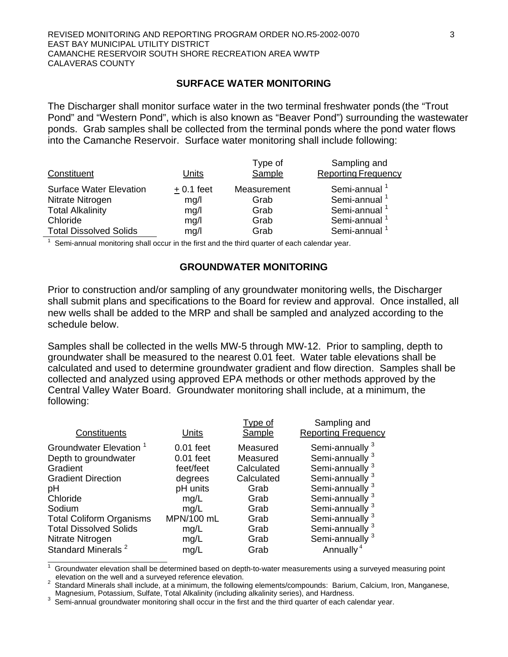## **SURFACE WATER MONITORING**

The Discharger shall monitor surface water in the two terminal freshwater ponds (the "Trout Pond" and "Western Pond", which is also known as "Beaver Pond") surrounding the wastewater ponds. Grab samples shall be collected from the terminal ponds where the pond water flows into the Camanche Reservoir. Surface water monitoring shall include following:

| Constituent                                        | Units        | Type of<br>Sample   | Sampling and<br><b>Reporting Frequency</b>           |
|----------------------------------------------------|--------------|---------------------|------------------------------------------------------|
| <b>Surface Water Elevation</b><br>Nitrate Nitrogen | $+0.1$ feet  | Measurement<br>Grab | Semi-annual <sup>1</sup><br>Semi-annual <sup>1</sup> |
| <b>Total Alkalinity</b>                            | mg/l<br>mg/l | Grab                | Semi-annual <sup>1</sup>                             |
| Chloride                                           | mg/l         | Grab                | Semi-annual <sup>1</sup>                             |
| <b>Total Dissolved Solids</b>                      | mg/l         | Grab                | Semi-annual <sup>1</sup>                             |

 $1$  Semi-annual monitoring shall occur in the first and the third quarter of each calendar year.

## **GROUNDWATER MONITORING**

Prior to construction and/or sampling of any groundwater monitoring wells, the Discharger shall submit plans and specifications to the Board for review and approval. Once installed, all new wells shall be added to the MRP and shall be sampled and analyzed according to the schedule below.

Samples shall be collected in the wells MW-5 through MW-12. Prior to sampling, depth to groundwater shall be measured to the nearest 0.01 feet. Water table elevations shall be calculated and used to determine groundwater gradient and flow direction. Samples shall be collected and analyzed using approved EPA methods or other methods approved by the Central Valley Water Board. Groundwater monitoring shall include, at a minimum, the following:

| Constituents                                                                                                                                                                                                                                              | Units                                                                                                                | Type of<br>Sample                                                                                        | Sampling and<br><b>Reporting Frequency</b>                                                                                                                                                                                                                                                                                        |
|-----------------------------------------------------------------------------------------------------------------------------------------------------------------------------------------------------------------------------------------------------------|----------------------------------------------------------------------------------------------------------------------|----------------------------------------------------------------------------------------------------------|-----------------------------------------------------------------------------------------------------------------------------------------------------------------------------------------------------------------------------------------------------------------------------------------------------------------------------------|
| Groundwater Elevation <sup>1</sup><br>Depth to groundwater<br>Gradient<br><b>Gradient Direction</b><br>pH<br>Chloride<br>Sodium<br><b>Total Coliform Organisms</b><br><b>Total Dissolved Solids</b><br>Nitrate Nitrogen<br>Standard Minerals <sup>2</sup> | $0.01$ feet<br>$0.01$ feet<br>feet/feet<br>degrees<br>pH units<br>mq/L<br>mq/L<br>MPN/100 mL<br>mg/L<br>mg/L<br>mg/L | Measured<br>Measured<br>Calculated<br>Calculated<br>Grab<br>Grab<br>Grab<br>Grab<br>Grab<br>Grab<br>Grab | Semi-annually <sup>3</sup><br>Semi-annually <sup>3</sup><br>Semi-annually <sup>3</sup><br>Semi-annually <sup>3</sup><br>Semi-annually <sup>3</sup><br>Semi-annually <sup>3</sup><br>Semi-annually <sup>3</sup><br>Semi-annually <sup>3</sup><br>Semi-annually <sup>3</sup><br>Semi-annually <sup>3</sup><br>Annually <sup>4</sup> |
|                                                                                                                                                                                                                                                           |                                                                                                                      |                                                                                                          |                                                                                                                                                                                                                                                                                                                                   |

1 Groundwater elevation shall be determined based on depth-to-water measurements using a surveyed measuring point elevation on the well and a surveyed reference elevation. 2

Standard Minerals shall include, at a minimum, the following elements/compounds: Barium, Calcium, Iron, Manganese,<br>Magnesium, Potassium, Sulfate, Total Alkalinity (including alkalinity series), and Hardness.

 $3$  Semi-annual groundwater monitoring shall occur in the first and the third quarter of each calendar year.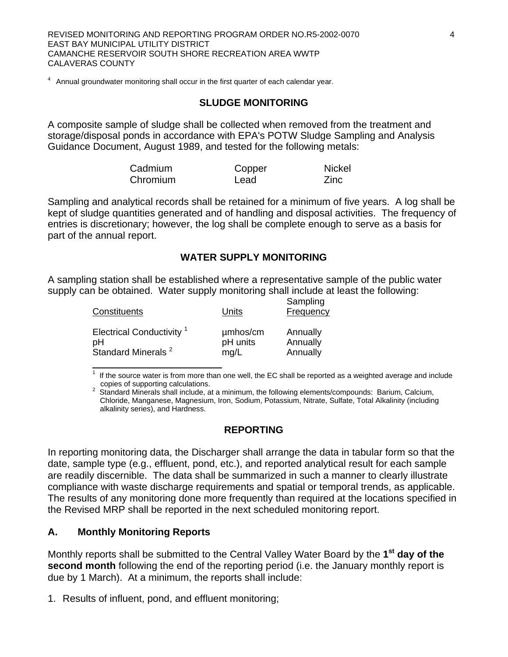<sup>4</sup> Annual groundwater monitoring shall occur in the first quarter of each calendar year.

### **SLUDGE MONITORING**

A composite sample of sludge shall be collected when removed from the treatment and storage/disposal ponds in accordance with EPA's POTW Sludge Sampling and Analysis Guidance Document, August 1989, and tested for the following metals:

| Cadmium          | <b>Nickel</b><br>Copper |  |
|------------------|-------------------------|--|
| Chromium<br>Lead | Zinc                    |  |

Sampling and analytical records shall be retained for a minimum of five years. A log shall be kept of sludge quantities generated and of handling and disposal activities. The frequency of entries is discretionary; however, the log shall be complete enough to serve as a basis for part of the annual report.

# **WATER SUPPLY MONITORING**

A sampling station shall be established where a representative sample of the public water supply can be obtained. Water supply monitoring shall include at least the following:

| Constituents                         | Units    | Sampling<br>Frequency |
|--------------------------------------|----------|-----------------------|
| Electrical Conductivity <sup>1</sup> | umhos/cm | Annually              |
| рH                                   | pH units | Annually              |
| Standard Minerals <sup>2</sup>       | mq/L     | Annually              |

If the source water is from more than one well, the EC shall be reported as a weighted average and include copies of supporting calculations. 2

2 Standard Minerals shall include, at a minimum, the following elements/compounds: Barium, Calcium, Chloride, Manganese, Magnesium, Iron, Sodium, Potassium, Nitrate, Sulfate, Total Alkalinity (including alkalinity series), and Hardness.

### **REPORTING**

In reporting monitoring data, the Discharger shall arrange the data in tabular form so that the date, sample type (e.g., effluent, pond, etc.), and reported analytical result for each sample are readily discernible. The data shall be summarized in such a manner to clearly illustrate compliance with waste discharge requirements and spatial or temporal trends, as applicable. The results of any monitoring done more frequently than required at the locations specified in the Revised MRP shall be reported in the next scheduled monitoring report.

### **A. Monthly Monitoring Reports**

Monthly reports shall be submitted to the Central Valley Water Board by the **1st day of the second month** following the end of the reporting period (i.e. the January monthly report is due by 1 March). At a minimum, the reports shall include:

1. Results of influent, pond, and effluent monitoring;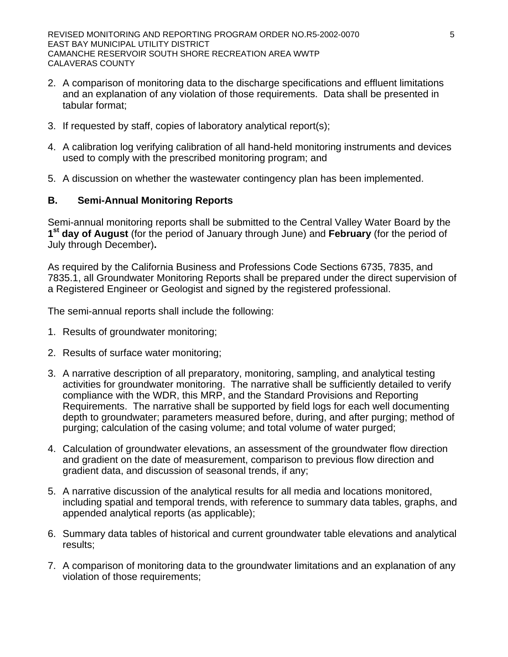- 2. A comparison of monitoring data to the discharge specifications and effluent limitations and an explanation of any violation of those requirements. Data shall be presented in tabular format;
- 3. If requested by staff, copies of laboratory analytical report(s);
- 4. A calibration log verifying calibration of all hand-held monitoring instruments and devices used to comply with the prescribed monitoring program; and
- 5. A discussion on whether the wastewater contingency plan has been implemented.

# **B. Semi-Annual Monitoring Reports**

Semi-annual monitoring reports shall be submitted to the Central Valley Water Board by the **1st day of August** (for the period of January through June) and **February** (for the period of July through December)**.**

As required by the California Business and Professions Code Sections 6735, 7835, and 7835.1, all Groundwater Monitoring Reports shall be prepared under the direct supervision of a Registered Engineer or Geologist and signed by the registered professional.

The semi-annual reports shall include the following:

- 1. Results of groundwater monitoring;
- 2. Results of surface water monitoring;
- 3. A narrative description of all preparatory, monitoring, sampling, and analytical testing activities for groundwater monitoring. The narrative shall be sufficiently detailed to verify compliance with the WDR, this MRP, and the Standard Provisions and Reporting Requirements. The narrative shall be supported by field logs for each well documenting depth to groundwater; parameters measured before, during, and after purging; method of purging; calculation of the casing volume; and total volume of water purged;
- 4. Calculation of groundwater elevations, an assessment of the groundwater flow direction and gradient on the date of measurement, comparison to previous flow direction and gradient data, and discussion of seasonal trends, if any;
- 5. A narrative discussion of the analytical results for all media and locations monitored, including spatial and temporal trends, with reference to summary data tables, graphs, and appended analytical reports (as applicable);
- 6. Summary data tables of historical and current groundwater table elevations and analytical results;
- 7. A comparison of monitoring data to the groundwater limitations and an explanation of any violation of those requirements;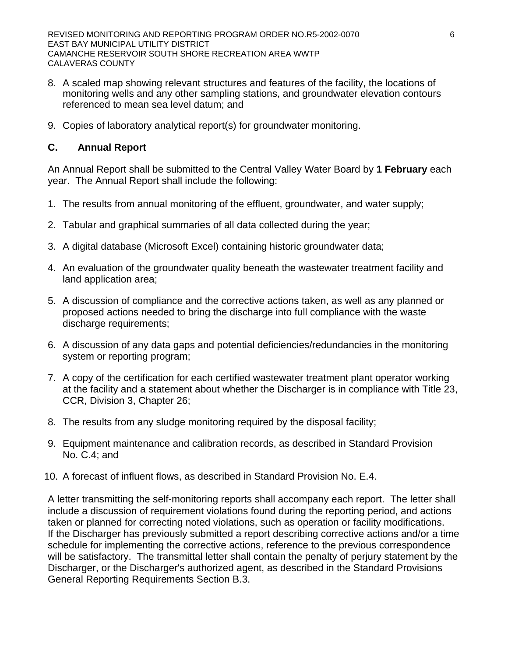REVISED MONITORING AND REPORTING PROGRAM ORDER NO.R5-2002-0070 6 EAST BAY MUNICIPAL UTILITY DISTRICT CAMANCHE RESERVOIR SOUTH SHORE RECREATION AREA WWTP CALAVERAS COUNTY

- 8. A scaled map showing relevant structures and features of the facility, the locations of monitoring wells and any other sampling stations, and groundwater elevation contours referenced to mean sea level datum; and
- 9. Copies of laboratory analytical report(s) for groundwater monitoring.

# **C. Annual Report**

An Annual Report shall be submitted to the Central Valley Water Board by **1 February** each year. The Annual Report shall include the following:

- 1. The results from annual monitoring of the effluent, groundwater, and water supply;
- 2. Tabular and graphical summaries of all data collected during the year;
- 3. A digital database (Microsoft Excel) containing historic groundwater data;
- 4. An evaluation of the groundwater quality beneath the wastewater treatment facility and land application area;
- 5. A discussion of compliance and the corrective actions taken, as well as any planned or proposed actions needed to bring the discharge into full compliance with the waste discharge requirements;
- 6. A discussion of any data gaps and potential deficiencies/redundancies in the monitoring system or reporting program;
- 7. A copy of the certification for each certified wastewater treatment plant operator working at the facility and a statement about whether the Discharger is in compliance with Title 23, CCR, Division 3, Chapter 26;
- 8. The results from any sludge monitoring required by the disposal facility;
- 9. Equipment maintenance and calibration records, as described in Standard Provision No. C.4; and
- 10. A forecast of influent flows, as described in Standard Provision No. E.4.

A letter transmitting the self-monitoring reports shall accompany each report. The letter shall include a discussion of requirement violations found during the reporting period, and actions taken or planned for correcting noted violations, such as operation or facility modifications. If the Discharger has previously submitted a report describing corrective actions and/or a time schedule for implementing the corrective actions, reference to the previous correspondence will be satisfactory. The transmittal letter shall contain the penalty of perjury statement by the Discharger, or the Discharger's authorized agent, as described in the Standard Provisions General Reporting Requirements Section B.3.